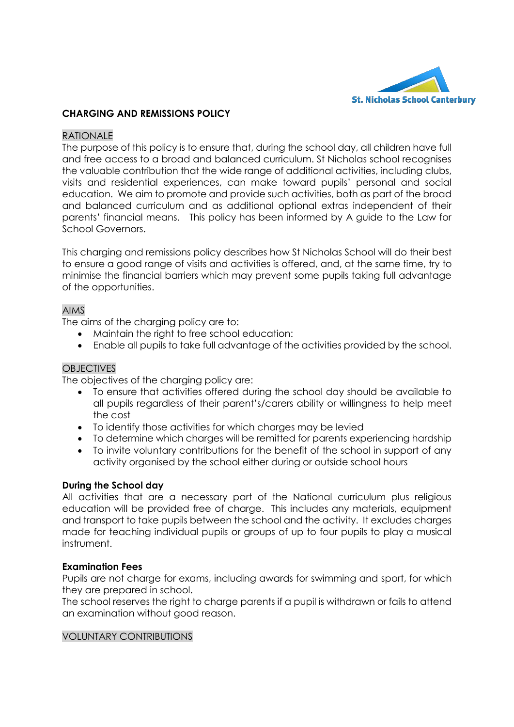

## **CHARGING AND REMISSIONS POLICY**

#### RATIONALE

The purpose of this policy is to ensure that, during the school day, all children have full and free access to a broad and balanced curriculum. St Nicholas school recognises the valuable contribution that the wide range of additional activities, including clubs, visits and residential experiences, can make toward pupils' personal and social education. We aim to promote and provide such activities, both as part of the broad and balanced curriculum and as additional optional extras independent of their parents' financial means. This policy has been informed by A guide to the Law for School Governors.

This charging and remissions policy describes how St Nicholas School will do their best to ensure a good range of visits and activities is offered, and, at the same time, try to minimise the financial barriers which may prevent some pupils taking full advantage of the opportunities.

## AIMS

The aims of the charging policy are to:

- Maintain the right to free school education:
- Enable all pupils to take full advantage of the activities provided by the school.

### **OBJECTIVES**

The objectives of the charging policy are:

- To ensure that activities offered during the school day should be available to all pupils regardless of their parent's/carers ability or willingness to help meet the cost
- To identify those activities for which charges may be levied
- To determine which charges will be remitted for parents experiencing hardship
- To invite voluntary contributions for the benefit of the school in support of any activity organised by the school either during or outside school hours

### **During the School day**

All activities that are a necessary part of the National curriculum plus religious education will be provided free of charge. This includes any materials, equipment and transport to take pupils between the school and the activity. It excludes charges made for teaching individual pupils or groups of up to four pupils to play a musical instrument.

### **Examination Fees**

Pupils are not charge for exams, including awards for swimming and sport, for which they are prepared in school.

The school reserves the right to charge parents if a pupil is withdrawn or fails to attend an examination without good reason.

#### VOLUNTARY CONTRIBUTIONS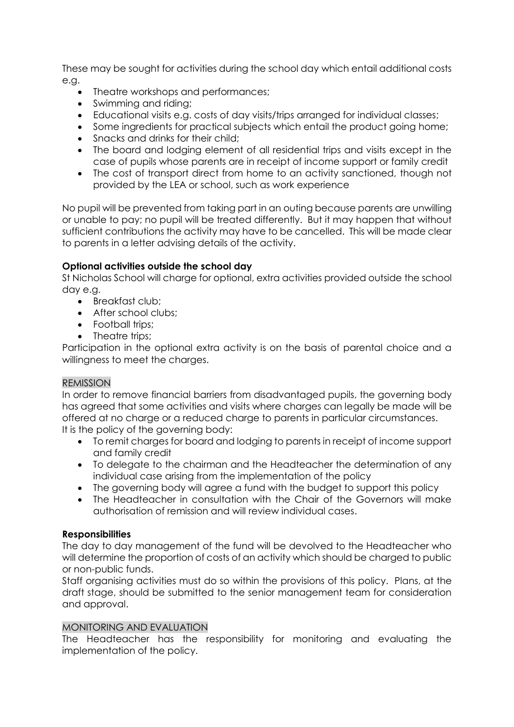These may be sought for activities during the school day which entail additional costs e.g.

- Theatre workshops and performances;
- Swimming and riding;
- Educational visits e.g. costs of day visits/trips arranged for individual classes;
- Some ingredients for practical subjects which entail the product going home;
- Snacks and drinks for their child:
- The board and lodging element of all residential trips and visits except in the case of pupils whose parents are in receipt of income support or family credit
- The cost of transport direct from home to an activity sanctioned, though not provided by the LEA or school, such as work experience

No pupil will be prevented from taking part in an outing because parents are unwilling or unable to pay; no pupil will be treated differently. But it may happen that without sufficient contributions the activity may have to be cancelled. This will be made clear to parents in a letter advising details of the activity.

# **Optional activities outside the school day**

St Nicholas School will charge for optional, extra activities provided outside the school day e.g.

- Breakfast club;
- After school clubs:
- Football trips;
- Theatre trips:

Participation in the optional extra activity is on the basis of parental choice and a willingness to meet the charges.

# REMISSION

In order to remove financial barriers from disadvantaged pupils, the governing body has agreed that some activities and visits where charges can legally be made will be offered at no charge or a reduced charge to parents in particular circumstances. It is the policy of the governing body:

- To remit charges for board and lodging to parents in receipt of income support and family credit
- To delegate to the chairman and the Headteacher the determination of any individual case arising from the implementation of the policy
- The governing body will agree a fund with the budget to support this policy
- The Headteacher in consultation with the Chair of the Governors will make authorisation of remission and will review individual cases.

# **Responsibilities**

The day to day management of the fund will be devolved to the Headteacher who will determine the proportion of costs of an activity which should be charged to public or non-public funds.

Staff organising activities must do so within the provisions of this policy. Plans, at the draft stage, should be submitted to the senior management team for consideration and approval.

### MONITORING AND EVALUATION

The Headteacher has the responsibility for monitoring and evaluating the implementation of the policy.